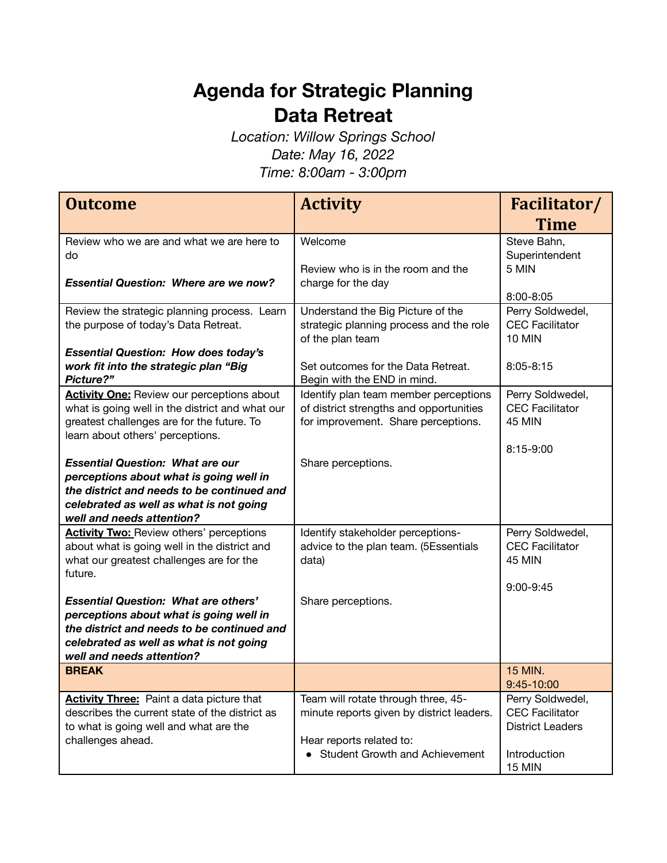## **Agenda for Strategic Planning Data Retreat**

*Location: Willow Springs School Date: May 16, 2022 Time: 8:00am - 3:00pm*

| <b>Outcome</b>                                                                                                                                                                                               | <b>Activity</b>                                                                                                                                  | Facilitator/                                                                                           |
|--------------------------------------------------------------------------------------------------------------------------------------------------------------------------------------------------------------|--------------------------------------------------------------------------------------------------------------------------------------------------|--------------------------------------------------------------------------------------------------------|
|                                                                                                                                                                                                              |                                                                                                                                                  | <b>Time</b>                                                                                            |
| Review who we are and what we are here to<br>do<br><b>Essential Question: Where are we now?</b>                                                                                                              | Welcome<br>Review who is in the room and the<br>charge for the day                                                                               | Steve Bahn,<br>Superintendent<br>5 MIN                                                                 |
|                                                                                                                                                                                                              |                                                                                                                                                  | $8:00 - 8:05$                                                                                          |
| Review the strategic planning process. Learn<br>the purpose of today's Data Retreat.                                                                                                                         | Understand the Big Picture of the<br>strategic planning process and the role<br>of the plan team                                                 | Perry Soldwedel,<br><b>CEC Facilitator</b><br><b>10 MIN</b>                                            |
| <b>Essential Question: How does today's</b><br>work fit into the strategic plan "Big<br>Picture?"                                                                                                            | Set outcomes for the Data Retreat.<br>Begin with the END in mind.                                                                                | $8:05 - 8:15$                                                                                          |
| <b>Activity One:</b> Review our perceptions about<br>what is going well in the district and what our<br>greatest challenges are for the future. To<br>learn about others' perceptions.                       | Identify plan team member perceptions<br>of district strengths and opportunities<br>for improvement. Share perceptions.                          | Perry Soldwedel,<br><b>CEC Facilitator</b><br><b>45 MIN</b>                                            |
| <b>Essential Question: What are our</b><br>perceptions about what is going well in<br>the district and needs to be continued and<br>celebrated as well as what is not going<br>well and needs attention?     | Share perceptions.                                                                                                                               | 8:15-9:00                                                                                              |
| <b>Activity Two:</b> Review others' perceptions<br>about what is going well in the district and<br>what our greatest challenges are for the<br>future.                                                       | Identify stakeholder perceptions-<br>advice to the plan team. (5Essentials<br>data)                                                              | Perry Soldwedel,<br><b>CEC</b> Facilitator<br><b>45 MIN</b><br>$9:00 - 9:45$                           |
| <b>Essential Question: What are others'</b><br>perceptions about what is going well in<br>the district and needs to be continued and<br>celebrated as well as what is not going<br>well and needs attention? | Share perceptions.                                                                                                                               |                                                                                                        |
| <b>BREAK</b>                                                                                                                                                                                                 |                                                                                                                                                  | 15 MIN.<br>9:45-10:00                                                                                  |
| <b>Activity Three:</b> Paint a data picture that<br>describes the current state of the district as<br>to what is going well and what are the<br>challenges ahead.                                            | Team will rotate through three, 45-<br>minute reports given by district leaders.<br>Hear reports related to:<br>• Student Growth and Achievement | Perry Soldwedel,<br><b>CEC Facilitator</b><br><b>District Leaders</b><br>Introduction<br><b>15 MIN</b> |